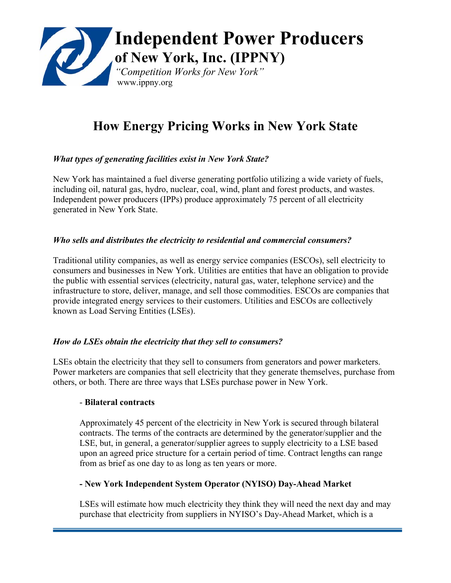

# **How Energy Pricing Works in New York State**

# *What types of generating facilities exist in New York State?*

New York has maintained a fuel diverse generating portfolio utilizing a wide variety of fuels, including oil, natural gas, hydro, nuclear, coal, wind, plant and forest products, and wastes. Independent power producers (IPPs) produce approximately 75 percent of all electricity generated in New York State.

#### *Who sells and distributes the electricity to residential and commercial consumers?*

Traditional utility companies, as well as energy service companies (ESCOs), sell electricity to consumers and businesses in New York. Utilities are entities that have an obligation to provide the public with essential services (electricity, natural gas, water, telephone service) and the infrastructure to store, deliver, manage, and sell those commodities. ESCOs are companies that provide integrated energy services to their customers. Utilities and ESCOs are collectively known as Load Serving Entities (LSEs).

#### *How do LSEs obtain the electricity that they sell to consumers?*

LSEs obtain the electricity that they sell to consumers from generators and power marketers. Power marketers are companies that sell electricity that they generate themselves, purchase from others, or both. There are three ways that LSEs purchase power in New York.

#### - **Bilateral contracts**

Approximately 45 percent of the electricity in New York is secured through bilateral contracts. The terms of the contracts are determined by the generator/supplier and the LSE, but, in general, a generator/supplier agrees to supply electricity to a LSE based upon an agreed price structure for a certain period of time. Contract lengths can range from as brief as one day to as long as ten years or more.

#### **- New York Independent System Operator (NYISO) Day-Ahead Market**

LSEs will estimate how much electricity they think they will need the next day and may purchase that electricity from suppliers in NYISO's Day-Ahead Market, which is a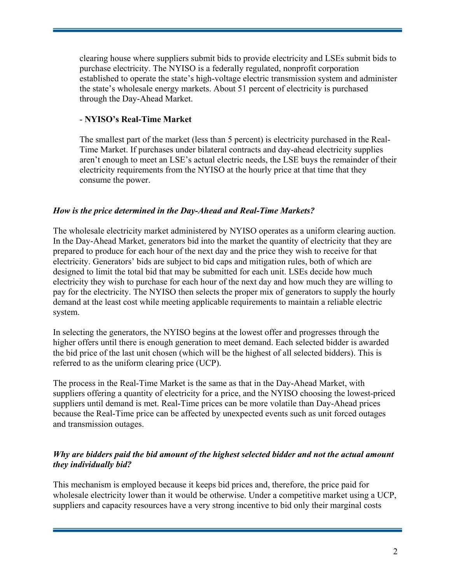clearing house where suppliers submit bids to provide electricity and LSEs submit bids to purchase electricity. The NYISO is a federally regulated, nonprofit corporation established to operate the state's high-voltage electric transmission system and administer the state's wholesale energy markets. About 51 percent of electricity is purchased through the Day-Ahead Market.

# - **NYISO's Real-Time Market**

The smallest part of the market (less than 5 percent) is electricity purchased in the Real-Time Market. If purchases under bilateral contracts and day-ahead electricity supplies aren't enough to meet an LSE's actual electric needs, the LSE buys the remainder of their electricity requirements from the NYISO at the hourly price at that time that they consume the power.

# *How is the price determined in the Day-Ahead and Real-Time Markets?*

The wholesale electricity market administered by NYISO operates as a uniform clearing auction. In the Day-Ahead Market, generators bid into the market the quantity of electricity that they are prepared to produce for each hour of the next day and the price they wish to receive for that electricity. Generators' bids are subject to bid caps and mitigation rules, both of which are designed to limit the total bid that may be submitted for each unit. LSEs decide how much electricity they wish to purchase for each hour of the next day and how much they are willing to pay for the electricity. The NYISO then selects the proper mix of generators to supply the hourly demand at the least cost while meeting applicable requirements to maintain a reliable electric system.

In selecting the generators, the NYISO begins at the lowest offer and progresses through the higher offers until there is enough generation to meet demand. Each selected bidder is awarded the bid price of the last unit chosen (which will be the highest of all selected bidders). This is referred to as the uniform clearing price (UCP).

The process in the Real-Time Market is the same as that in the Day-Ahead Market, with suppliers offering a quantity of electricity for a price, and the NYISO choosing the lowest-priced suppliers until demand is met. Real-Time prices can be more volatile than Day-Ahead prices because the Real-Time price can be affected by unexpected events such as unit forced outages and transmission outages.

# *Why are bidders paid the bid amount of the highest selected bidder and not the actual amount they individually bid?*

This mechanism is employed because it keeps bid prices and, therefore, the price paid for wholesale electricity lower than it would be otherwise. Under a competitive market using a UCP, suppliers and capacity resources have a very strong incentive to bid only their marginal costs